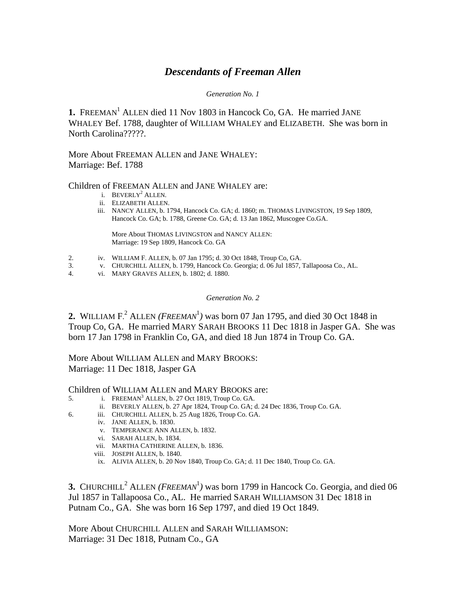# *Descendants of Freeman Allen*

## *Generation No. 1*

1. FREEMAN<sup>1</sup> ALLEN died 11 Nov 1803 in Hancock Co, GA. He married JANE WHALEY Bef. 1788, daughter of WILLIAM WHALEY and ELIZABETH. She was born in North Carolina?????.

More About FREEMAN ALLEN and JANE WHALEY: Marriage: Bef. 1788

## Children of FREEMAN ALLEN and JANE WHALEY are:

- i. BEVERLY<sup>2</sup> ALLEN.
	- ii. ELIZABETH ALLEN.
	- iii. NANCY ALLEN, b. 1794, Hancock Co. GA; d. 1860; m. THOMAS LIVINGSTON, 19 Sep 1809, Hancock Co. GA; b. 1788, Greene Co. GA; d. 13 Jan 1862, Muscogee Co.GA.

More About THOMAS LIVINGSTON and NANCY ALLEN: Marriage: 19 Sep 1809, Hancock Co. GA

- 2. iv. WILLIAM F. ALLEN, b. 07 Jan 1795; d. 30 Oct 1848, Troup Co, GA.
- 3. v. CHURCHILL ALLEN, b. 1799, Hancock Co. Georgia; d. 06 Jul 1857, Tallapoosa Co., AL.
- 4. vi. MARY GRAVES ALLEN, b. 1802; d. 1880.

#### *Generation No. 2*

**2.** WILLIAM  $F^2$ . ALLEN (*FREEMAN*<sup>1</sup>) was born 07 Jan 1795, and died 30 Oct 1848 in Troup Co, GA. He married MARY SARAH BROOKS 11 Dec 1818 in Jasper GA. She was born 17 Jan 1798 in Franklin Co, GA, and died 18 Jun 1874 in Troup Co. GA.

More About WILLIAM ALLEN and MARY BROOKS: Marriage: 11 Dec 1818, Jasper GA

Children of WILLIAM ALLEN and MARY BROOKS are:

- 5. i. FREEMAN<sup>3</sup> ALLEN, b. 27 Oct 1819, Troup Co. GA.
	- ii. BEVERLY ALLEN, b. 27 Apr 1824, Troup Co. GA; d. 24 Dec 1836, Troup Co. GA.
- 6. iii. CHURCHILL ALLEN, b. 25 Aug 1826, Troup Co. GA.
	- iv. JANE ALLEN, b. 1830.
		- v. TEMPERANCE ANN ALLEN, b. 1832.
		- vi. SARAH ALLEN, b. 1834.
		- vii. MARTHA CATHERINE ALLEN, b. 1836.
		- viii. JOSEPH ALLEN, b. 1840.
		- ix. ALIVIA ALLEN, b. 20 Nov 1840, Troup Co. GA; d. 11 Dec 1840, Troup Co. GA.

**3.** CHURCHILL<sup>2</sup> ALLEN (*FREEMAN*<sup>1</sup>) was born 1799 in Hancock Co. Georgia, and died 06 Jul 1857 in Tallapoosa Co., AL. He married SARAH WILLIAMSON 31 Dec 1818 in Putnam Co., GA. She was born 16 Sep 1797, and died 19 Oct 1849.

More About CHURCHILL ALLEN and SARAH WILLIAMSON: Marriage: 31 Dec 1818, Putnam Co., GA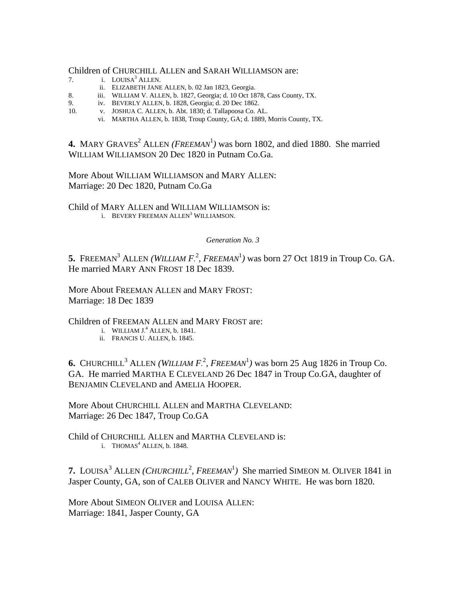#### Children of CHURCHILL ALLEN and SARAH WILLIAMSON are:

- 7. i. LOUISA<sup>3</sup> ALLEN.
	- ii. ELIZABETH JANE ALLEN, b. 02 Jan 1823, Georgia.
- 8. iii. WILLIAM V. ALLEN, b. 1827, Georgia; d. 10 Oct 1878, Cass County, TX.
- 9. iv. BEVERLY ALLEN, b. 1828, Georgia; d. 20 Dec 1862.<br>10. v. JOSHUA C. ALLEN, b. Abt. 1830: d. Tallapoosa Co. A
- v. JOSHUA C. ALLEN, b. Abt. 1830; d. Tallapoosa Co. AL.
	- vi. MARTHA ALLEN, b. 1838, Troup County, GA; d. 1889, Morris County, TX.

**4.** MARY GRAVES<sup>2</sup> ALLEN (*FREEMAN*<sup>1</sup>) was born 1802, and died 1880. She married WILLIAM WILLIAMSON 20 Dec 1820 in Putnam Co.Ga.

More About WILLIAM WILLIAMSON and MARY ALLEN: Marriage: 20 Dec 1820, Putnam Co.Ga

Child of MARY ALLEN and WILLIAM WILLIAMSON is: i. BEVERY FREEMAN ALLEN<sup>3</sup> WILLIAMSON.

## *Generation No. 3*

5. FREEMAN<sup>3</sup> ALLEN *(WILLIAM F.<sup>2</sup>, FREEMAN<sup>1</sup>)* was born 27 Oct 1819 in Troup Co. GA. He married MARY ANN FROST 18 Dec 1839.

More About FREEMAN ALLEN and MARY FROST: Marriage: 18 Dec 1839

Children of FREEMAN ALLEN and MARY FROST are:

- i. WILLIAM  $J^4$  ALLEN, b. 1841.
	- ii. FRANCIS U. ALLEN, b. 1845.

**6.** CHURCHILL<sup>3</sup> ALLEN (WILLIAM  $F^2$ , FREEMAN<sup>1</sup>) was born 25 Aug 1826 in Troup Co. GA. He married MARTHA E CLEVELAND 26 Dec 1847 in Troup Co.GA, daughter of BENJAMIN CLEVELAND and AMELIA HOOPER.

More About CHURCHILL ALLEN and MARTHA CLEVELAND: Marriage: 26 Dec 1847, Troup Co.GA

Child of CHURCHILL ALLEN and MARTHA CLEVELAND is: i. THOMAS $<sup>4</sup>$  ALLEN, b. 1848.</sup>

**7.** LOUISA<sup>3</sup> ALLEN (*CHURCHILL*<sup>2</sup>, FREEMAN<sup>1</sup>) She married SIMEON M. OLIVER 1841 in Jasper County, GA, son of CALEB OLIVER and NANCY WHITE. He was born 1820.

More About SIMEON OLIVER and LOUISA ALLEN: Marriage: 1841, Jasper County, GA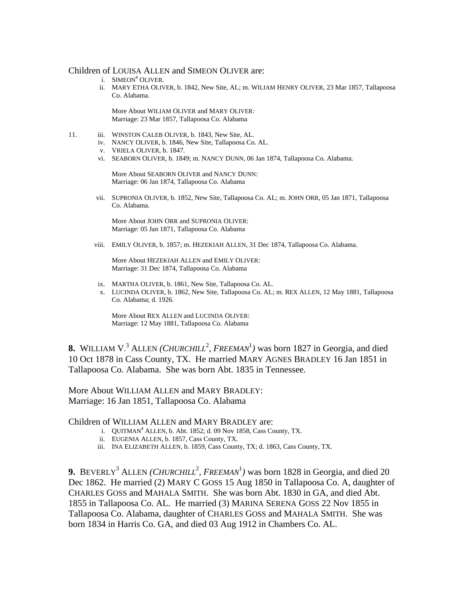#### Children of LOUISA ALLEN and SIMEON OLIVER are:

- i. SIMEON<sup>4</sup> OLIVER.
	- ii. MARY ETHA OLIVER, b. 1842, New Site, AL; m. WILIAM HENRY OLIVER, 23 Mar 1857, Tallapoosa Co. Alabama.

More About WILIAM OLIVER and MARY OLIVER: Marriage: 23 Mar 1857, Tallapoosa Co. Alabama

- 11. iii. WINSTON CALEB OLIVER, b. 1843, New Site, AL.
	- iv. NANCY OLIVER, b. 1846, New Site, Tallapoosa Co. AL.
	- v. VRIELA OLIVER, b. 1847.
	- vi. SEABORN OLIVER, b. 1849; m. NANCY DUNN, 06 Jan 1874, Tallapoosa Co. Alabama.

More About SEABORN OLIVER and NANCY DUNN: Marriage: 06 Jan 1874, Tallapoosa Co. Alabama

 vii. SUPRONIA OLIVER, b. 1852, New Site, Tallapoosa Co. AL; m. JOHN ORR, 05 Jan 1871, Tallapoosa Co. Alabama.

More About JOHN ORR and SUPRONIA OLIVER: Marriage: 05 Jan 1871, Tallapoosa Co. Alabama

viii. EMILY OLIVER, b. 1857; m. HEZEKIAH ALLEN, 31 Dec 1874, Tallapoosa Co. Alabama.

More About HEZEKIAH ALLEN and EMILY OLIVER: Marriage: 31 Dec 1874, Tallapoosa Co. Alabama

- ix. MARTHA OLIVER, b. 1861, New Site, Tallapoosa Co. AL.
- x. LUCINDA OLIVER, b. 1862, New Site, Tallapoosa Co. AL; m. REX ALLEN, 12 May 1881, Tallapoosa Co. Alabama; d. 1926.

More About REX ALLEN and LUCINDA OLIVER: Marriage: 12 May 1881, Tallapoosa Co. Alabama

**8.** WILLIAM V.<sup>3</sup> ALLEN (*CHURCHILL*<sup>2</sup>, FREEMAN<sup>1</sup>) was born 1827 in Georgia, and died 10 Oct 1878 in Cass County, TX. He married MARY AGNES BRADLEY 16 Jan 1851 in Tallapoosa Co. Alabama. She was born Abt. 1835 in Tennessee.

More About WILLIAM ALLEN and MARY BRADLEY: Marriage: 16 Jan 1851, Tallapoosa Co. Alabama

## Children of WILLIAM ALLEN and MARY BRADLEY are:

- i.  $QUITMAN^4$  ALLEN, b. Abt. 1852; d. 09 Nov 1858, Cass County, TX.
	- ii. EUGENIA ALLEN, b. 1857, Cass County, TX.
	- iii. INA ELIZABETH ALLEN, b. 1859, Cass County, TX; d. 1863, Cass County, TX.

**9.** BEVERLY<sup>3</sup> ALLEN (*CHURCHILL*<sup>2</sup>, FREEMAN<sup>1</sup>) was born 1828 in Georgia, and died 20 Dec 1862. He married (2) MARY C GOSS 15 Aug 1850 in Tallapoosa Co. A, daughter of CHARLES GOSS and MAHALA SMITH. She was born Abt. 1830 in GA, and died Abt. 1855 in Tallapoosa Co. AL. He married (3) MARINA SERENA GOSS 22 Nov 1855 in Tallapoosa Co. Alabama, daughter of CHARLES GOSS and MAHALA SMITH. She was born 1834 in Harris Co. GA, and died 03 Aug 1912 in Chambers Co. AL.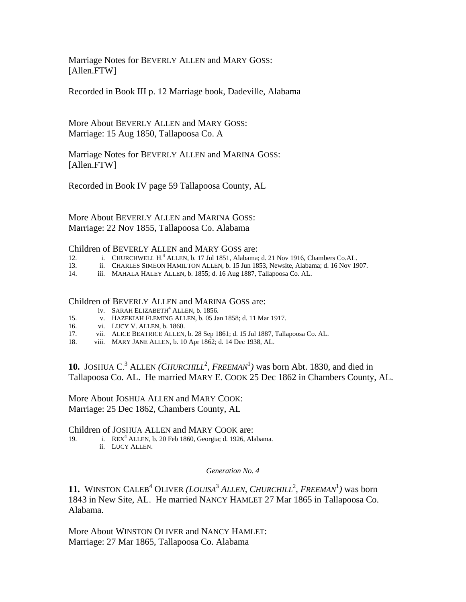Marriage Notes for BEVERLY ALLEN and MARY GOSS: [Allen.FTW]

Recorded in Book III p. 12 Marriage book, Dadeville, Alabama

More About BEVERLY ALLEN and MARY GOSS: Marriage: 15 Aug 1850, Tallapoosa Co. A

Marriage Notes for BEVERLY ALLEN and MARINA GOSS: [Allen.FTW]

Recorded in Book IV page 59 Tallapoosa County, AL

More About BEVERLY ALLEN and MARINA GOSS: Marriage: 22 Nov 1855, Tallapoosa Co. Alabama

#### Children of BEVERLY ALLEN and MARY GOSS are:

- 12. i. CHURCHWELL H. 4 ALLEN, b. 17 Jul 1851, Alabama; d. 21 Nov 1916, Chambers Co.AL.
- 13. ii. CHARLES SIMEON HAMILTON ALLEN, b. 15 Jun 1853, Newsite, Alabama; d. 16 Nov 1907.
- 14. iii. MAHALA HALEY ALLEN, b. 1855; d. 16 Aug 1887, Tallapoosa Co. AL.

#### Children of BEVERLY ALLEN and MARINA GOSS are:

- iv. SARAH ELIZABETH<sup>4</sup> ALLEN, b. 1856.
- 15. v. HAZEKIAH FLEMING ALLEN, b. 05 Jan 1858; d. 11 Mar 1917.
- 16. vi. LUCY V. ALLEN, b. 1860.<br>17. vii. ALICE BEATRICE ALLEN,
- vii. ALICE BEATRICE ALLEN, b. 28 Sep 1861; d. 15 Jul 1887, Tallapoosa Co. AL.
- 18. viii. MARY JANE ALLEN, b. 10 Apr 1862; d. 14 Dec 1938, AL.

**10.** JOSHUA C.<sup>3</sup> ALLEN (*CHURCHILL*<sup>2</sup>, *FREEMAN*<sup>1</sup>) was born Abt. 1830, and died in Tallapoosa Co. AL. He married MARY E. COOK 25 Dec 1862 in Chambers County, AL.

More About JOSHUA ALLEN and MARY COOK: Marriage: 25 Dec 1862, Chambers County, AL

Children of JOSHUA ALLEN and MARY COOK are:

19. i. REX<sup>4</sup> ALLEN, b. 20 Feb 1860, Georgia; d. 1926, Alabama. ii. LUCY ALLEN.

#### *Generation No. 4*

**11.** WINSTON CALEB<sup>4</sup> OLIVER (*LOUISA*<sup>3</sup> ALLEN, CHURCHILL<sup>2</sup>, FREEMAN<sup>1</sup>) was born 1843 in New Site, AL. He married NANCY HAMLET 27 Mar 1865 in Tallapoosa Co. Alabama.

More About WINSTON OLIVER and NANCY HAMLET: Marriage: 27 Mar 1865, Tallapoosa Co. Alabama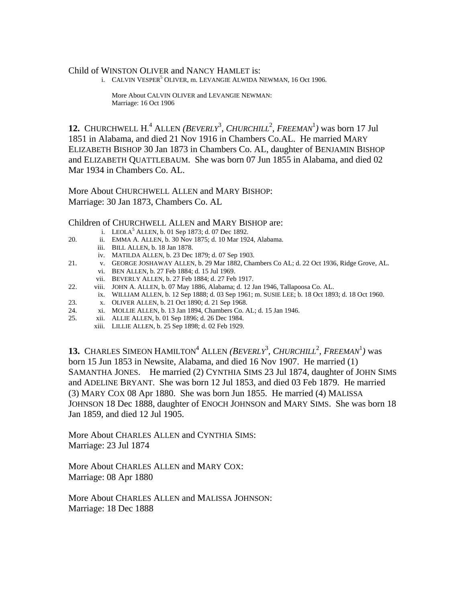## Child of WINSTON OLIVER and NANCY HAMLET is:

i. CALVIN VESPER<sup>5</sup> OLIVER, m. LEVANGIE ALWIDA NEWMAN, 16 Oct 1906.

More About CALVIN OLIVER and LEVANGIE NEWMAN: Marriage: 16 Oct 1906

**12.** CHURCHWELL H.<sup>4</sup> ALLEN (*BEVERLY*<sup>3</sup>, *CHURCHILL*<sup>2</sup>, *FREEMAN*<sup>1</sup>) was born 17 Jul 1851 in Alabama, and died 21 Nov 1916 in Chambers Co.AL. He married MARY ELIZABETH BISHOP 30 Jan 1873 in Chambers Co. AL, daughter of BENJAMIN BISHOP and ELIZABETH QUATTLEBAUM. She was born 07 Jun 1855 in Alabama, and died 02 Mar 1934 in Chambers Co. AL.

More About CHURCHWELL ALLEN and MARY BISHOP: Marriage: 30 Jan 1873, Chambers Co. AL

## Children of CHURCHWELL ALLEN and MARY BISHOP are:

- i. LEOLA<sup>5</sup> ALLEN, b. 01 Sep 1873; d. 07 Dec 1892.
- 20. ii. EMMA A. ALLEN, b. 30 Nov 1875; d. 10 Mar 1924, Alabama.
	- iii. BILL ALLEN, b. 18 Jan 1878.
		- iv. MATILDA ALLEN, b. 23 Dec 1879; d. 07 Sep 1903.
- 21. v. GEORGE JOSHAWAY ALLEN, b. 29 Mar 1882, Chambers Co AL; d. 22 Oct 1936, Ridge Grove, AL. vi. BEN ALLEN, b. 27 Feb 1884; d. 15 Jul 1969.
	- vii. BEVERLY ALLEN, b. 27 Feb 1884; d. 27 Feb 1917.
- 22. viii. JOHN A. ALLEN, b. 07 May 1886, Alabama; d. 12 Jan 1946, Tallapoosa Co. AL.
- ix. WILLIAM ALLEN, b. 12 Sep 1888; d. 03 Sep 1961; m. SUSIE LEE; b. 18 Oct 1893; d. 18 Oct 1960.
- 23. x. OLIVER ALLEN, b. 21 Oct 1890; d. 21 Sep 1968.
- 24. xi. MOLLIE ALLEN, b. 13 Jan 1894, Chambers Co. AL; d. 15 Jan 1946.<br>25. xii. ALLIE ALLEN, b. 01 Sep 1896; d. 26 Dec 1984.
- 25. xii. ALLIE ALLEN, b. 01 Sep 1896; d. 26 Dec 1984.
	- xiii. LILLIE ALLEN, b. 25 Sep 1898; d. 02 Feb 1929.

**13.** CHARLES SIMEON HAMILTON<sup>4</sup> ALLEN (*BEVERLY*<sup>3</sup>, *CHURCHILL*<sup>2</sup>, *FREEMAN*<sup>1</sup>) was born 15 Jun 1853 in Newsite, Alabama, and died 16 Nov 1907. He married (1) SAMANTHA JONES. He married (2) CYNTHIA SIMS 23 Jul 1874, daughter of JOHN SIMS and ADELINE BRYANT. She was born 12 Jul 1853, and died 03 Feb 1879. He married (3) MARY COX 08 Apr 1880. She was born Jun 1855. He married (4) MALISSA JOHNSON 18 Dec 1888, daughter of ENOCH JOHNSON and MARY SIMS. She was born 18 Jan 1859, and died 12 Jul 1905.

More About CHARLES ALLEN and CYNTHIA SIMS: Marriage: 23 Jul 1874

More About CHARLES ALLEN and MARY COX: Marriage: 08 Apr 1880

More About CHARLES ALLEN and MALISSA JOHNSON: Marriage: 18 Dec 1888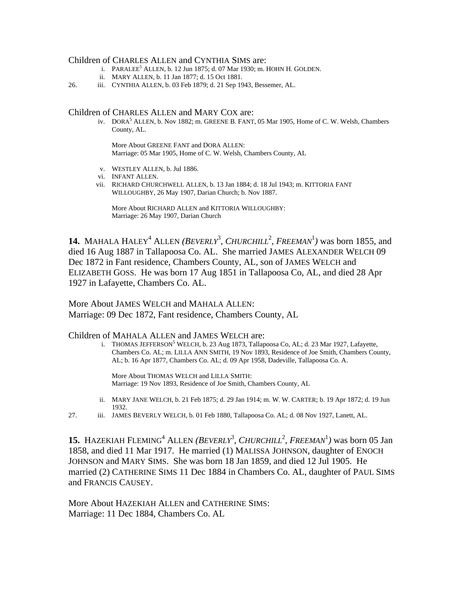#### Children of CHARLES ALLEN and CYNTHIA SIMS are:

- i. PARALEE<sup>5</sup> ALLEN, b. 12 Jun 1875; d. 07 Mar 1930; m. HOHN H. GOLDEN.
	- ii. MARY ALLEN, b. 11 Jan 1877; d. 15 Oct 1881.

26. iii. CYNTHIA ALLEN, b. 03 Feb 1879; d. 21 Sep 1943, Bessemer, AL.

#### Children of CHARLES ALLEN and MARY COX are:

iv. DORA<sup>5</sup> ALLEN, b. Nov 1882; m. GREENE B. FANT, 05 Mar 1905, Home of C. W. Welsh, Chambers County, AL.

> More About GREENE FANT and DORA ALLEN: Marriage: 05 Mar 1905, Home of C. W. Welsh, Chambers County, AL

- v. WESTLEY ALLEN, b. Jul 1886.
- vi. INFANT ALLEN.
- vii. RICHARD CHURCHWELL ALLEN, b. 13 Jan 1884; d. 18 Jul 1943; m. KITTORIA FANT WILLOUGHBY, 26 May 1907, Darian Church; b. Nov 1887.

More About RICHARD ALLEN and KITTORIA WILLOUGHBY: Marriage: 26 May 1907, Darian Church

**14.** MAHALA HALEY<sup>4</sup> ALLEN (*BEVERLY*<sup>3</sup>, *CHURCHILL*<sup>2</sup>, *FREEMAN*<sup>1</sup>) was born 1855, and died 16 Aug 1887 in Tallapoosa Co. AL. She married JAMES ALEXANDER WELCH 09 Dec 1872 in Fant residence, Chambers County, AL, son of JAMES WELCH and ELIZABETH GOSS. He was born 17 Aug 1851 in Tallapoosa Co, AL, and died 28 Apr 1927 in Lafayette, Chambers Co. AL.

More About JAMES WELCH and MAHALA ALLEN: Marriage: 09 Dec 1872, Fant residence, Chambers County, AL

#### Children of MAHALA ALLEN and JAMES WELCH are:

i. THOMAS JEFFERSON<sup>5</sup> WELCH, b. 23 Aug 1873, Tallapoosa Co, AL; d. 23 Mar 1927, Lafayette, Chambers Co. AL; m. LILLA ANN SMITH, 19 Nov 1893, Residence of Joe Smith, Chambers County, AL; b. 16 Apr 1877, Chambers Co. AL; d. 09 Apr 1958, Dadeville, Tallapoosa Co. A.

> More About THOMAS WELCH and LILLA SMITH: Marriage: 19 Nov 1893, Residence of Joe Smith, Chambers County, AL

- ii. MARY JANE WELCH, b. 21 Feb 1875; d. 29 Jan 1914; m. W. W. CARTER; b. 19 Apr 1872; d. 19 Jun 1932.
- 27. iii. JAMES BEVERLY WELCH, b. 01 Feb 1880, Tallapoosa Co. AL; d. 08 Nov 1927, Lanett, AL.

**15.** HAZEKIAH FLEMING<sup>4</sup> ALLEN (*BEVERLY*<sup>3</sup>, *CHURCHILL*<sup>2</sup>, *FREEMAN*<sup>1</sup>) was born 05 Jan 1858, and died 11 Mar 1917. He married (1) MALISSA JOHNSON, daughter of ENOCH JOHNSON and MARY SIMS. She was born 18 Jan 1859, and died 12 Jul 1905. He married (2) CATHERINE SIMS 11 Dec 1884 in Chambers Co. AL, daughter of PAUL SIMS and FRANCIS CAUSEY.

More About HAZEKIAH ALLEN and CATHERINE SIMS: Marriage: 11 Dec 1884, Chambers Co. AL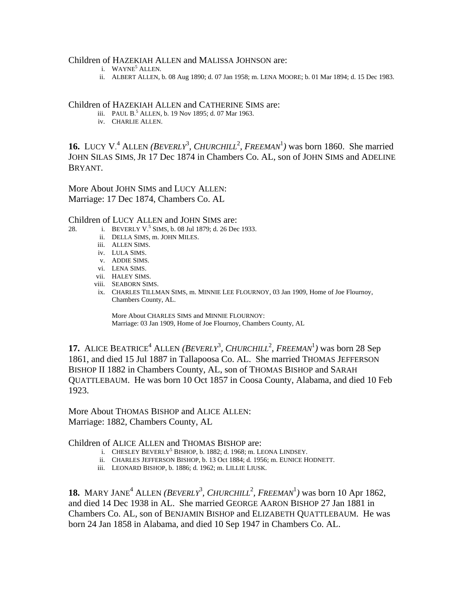#### Children of HAZEKIAH ALLEN and MALISSA JOHNSON are:

- i. WAYNE<sup>5</sup> ALLEN.
	- ii. ALBERT ALLEN, b. 08 Aug 1890; d. 07 Jan 1958; m. LENA MOORE; b. 01 Mar 1894; d. 15 Dec 1983.

#### Children of HAZEKIAH ALLEN and CATHERINE SIMS are:

- iii. PAUL B.<sup>5</sup> ALLEN, b. 19 Nov 1895; d. 07 Mar 1963.
	- iv. CHARLIE ALLEN.

**16.** LUCY V.<sup>4</sup> ALLEN (*BEVERLY*<sup>3</sup>, *CHURCHILL*<sup>2</sup>, *FREEMAN*<sup>1</sup>) was born 1860. She married JOHN SILAS SIMS, JR 17 Dec 1874 in Chambers Co. AL, son of JOHN SIMS and ADELINE BRYANT.

More About JOHN SIMS and LUCY ALLEN: Marriage: 17 Dec 1874, Chambers Co. AL

## Children of LUCY ALLEN and JOHN SIMS are:

- 28. i. BEVERLY V.<sup>5</sup> SIMS, b. 08 Jul 1879; d. 26 Dec 1933.
	- ii. DELLA SIMS, m. JOHN MILES.
	- iii. ALLEN SIMS.
	- iv. LULA SIMS.
	- v. ADDIE SIMS.
	- vi. LENA SIMS.
	- vii. HALEY SIMS.
	- viii. SEABORN SIMS.
	- ix. CHARLES TILLMAN SIMS, m. MINNIE LEE FLOURNOY, 03 Jan 1909, Home of Joe Flournoy, Chambers County, AL.

More About CHARLES SIMS and MINNIE FLOURNOY: Marriage: 03 Jan 1909, Home of Joe Flournoy, Chambers County, AL

**17.** ALICE BEATRICE<sup>4</sup> ALLEN (*BEVERLY*<sup>3</sup>, *CHURCHILL*<sup>2</sup>, *FREEMAN*<sup>1</sup>) was born 28 Sep 1861, and died 15 Jul 1887 in Tallapoosa Co. AL. She married THOMAS JEFFERSON BISHOP II 1882 in Chambers County, AL, son of THOMAS BISHOP and SARAH QUATTLEBAUM. He was born 10 Oct 1857 in Coosa County, Alabama, and died 10 Feb 1923.

More About THOMAS BISHOP and ALICE ALLEN: Marriage: 1882, Chambers County, AL

## Children of ALICE ALLEN and THOMAS BISHOP are:

- i. CHESLEY BEVERLY<sup>5</sup> BISHOP, b. 1882; d. 1968; m. LEONA LINDSEY.
	- ii. CHARLES JEFFERSON BISHOP, b. 13 Oct 1884; d. 1956; m. EUNICE HODNETT.
	- iii. LEONARD BISHOP, b. 1886; d. 1962; m. LILLIE LIUSK.

**18.** MARY JANE<sup>4</sup> ALLEN (*BEVERLY*<sup>3</sup>, *CHURCHILL*<sup>2</sup>, *FREEMAN*<sup>1</sup>) was born 10 Apr 1862, and died 14 Dec 1938 in AL. She married GEORGE AARON BISHOP 27 Jan 1881 in Chambers Co. AL, son of BENJAMIN BISHOP and ELIZABETH QUATTLEBAUM. He was born 24 Jan 1858 in Alabama, and died 10 Sep 1947 in Chambers Co. AL.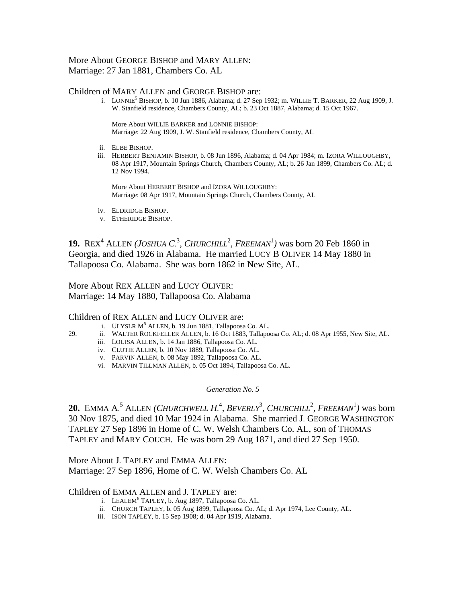# More About GEORGE BISHOP and MARY ALLEN: Marriage: 27 Jan 1881, Chambers Co. AL

#### Children of MARY ALLEN and GEORGE BISHOP are:

i. LONNIE<sup>5</sup> BISHOP, b. 10 Jun 1886, Alabama; d. 27 Sep 1932; m. WILLIE T. BARKER, 22 Aug 1909, J. W. Stanfield residence, Chambers County, AL; b. 23 Oct 1887, Alabama; d. 15 Oct 1967.

> More About WILLIE BARKER and LONNIE BISHOP: Marriage: 22 Aug 1909, J. W. Stanfield residence, Chambers County, AL

- ii. ELBE BISHOP.
- iii. HERBERT BENJAMIN BISHOP, b. 08 Jun 1896, Alabama; d. 04 Apr 1984; m. IZORA WILLOUGHBY, 08 Apr 1917, Mountain Springs Church, Chambers County, AL; b. 26 Jan 1899, Chambers Co. AL; d. 12 Nov 1994.

More About HERBERT BISHOP and IZORA WILLOUGHBY: Marriage: 08 Apr 1917, Mountain Springs Church, Chambers County, AL

- iv. ELDRIDGE BISHOP.
- v. ETHERIDGE BISHOP.

**19.** REX<sup>4</sup> ALLEN (*JOSHUA C.*<sup>3</sup>, *CHURCHILL*<sup>2</sup>, *FREEMAN*<sup>1</sup>) was born 20 Feb 1860 in Georgia, and died 1926 in Alabama. He married LUCY B OLIVER 14 May 1880 in Tallapoosa Co. Alabama. She was born 1862 in New Site, AL.

More About REX ALLEN and LUCY OLIVER: Marriage: 14 May 1880, Tallapoosa Co. Alabama

#### Children of REX ALLEN and LUCY OLIVER are:

- i. ULYSLR  $M<sup>5</sup>$  ALLEN, b. 19 Jun 1881, Tallapoosa Co. AL.
- 29. ii. WALTER ROCKFELLER ALLEN, b. 16 Oct 1883, Tallapoosa Co. AL; d. 08 Apr 1955, New Site, AL.
	- iii. LOUISA ALLEN, b. 14 Jan 1886, Tallapoosa Co. AL.
	- iv. CLUTIE ALLEN, b. 10 Nov 1889, Tallapoosa Co. AL.
	- v. PARVIN ALLEN, b. 08 May 1892, Tallapoosa Co. AL.
	- vi. MARVIN TILLMAN ALLEN, b. 05 Oct 1894, Tallapoosa Co. AL.

#### *Generation No. 5*

**20.** EMMA A.<sup>5</sup> ALLEN *(CHURCHWELL H.<sup>4</sup>, BEVERLY<sup>3</sup>, CHURCHILL<sup>2</sup>, FREEMAN<sup>1</sup>) was born* 30 Nov 1875, and died 10 Mar 1924 in Alabama. She married J. GEORGE WASHINGTON TAPLEY 27 Sep 1896 in Home of C. W. Welsh Chambers Co. AL, son of THOMAS TAPLEY and MARY COUCH. He was born 29 Aug 1871, and died 27 Sep 1950.

More About J. TAPLEY and EMMA ALLEN: Marriage: 27 Sep 1896, Home of C. W. Welsh Chambers Co. AL

#### Children of EMMA ALLEN and J. TAPLEY are:

- i. LEALEM<sup>6</sup> TAPLEY, b. Aug 1897, Tallapoosa Co. AL.
	- ii. CHURCH TAPLEY, b. 05 Aug 1899, Tallapoosa Co. AL; d. Apr 1974, Lee County, AL.
	- iii. ISON TAPLEY, b. 15 Sep 1908; d. 04 Apr 1919, Alabama.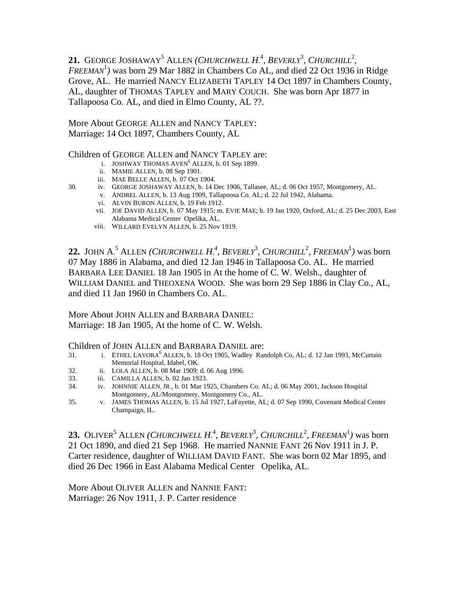21. GEORGE JOSHAWAY<sup>5</sup> ALLEN (CHURCHWELL H.<sup>4</sup>, BEVERLY<sup>3</sup>, CHURCHILL<sup>2</sup>, *FREEMAN*<sup>1</sup> *)* was born 29 Mar 1882 in Chambers Co AL, and died 22 Oct 1936 in Ridge Grove, AL. He married NANCY ELIZABETH TAPLEY 14 Oct 1897 in Chambers County, AL, daughter of THOMAS TAPLEY and MARY COUCH. She was born Apr 1877 in Tallapoosa Co. AL, and died in Elmo County, AL ??.

More About GEORGE ALLEN and NANCY TAPLEY: Marriage: 14 Oct 1897, Chambers County, AL

# Children of GEORGE ALLEN and NANCY TAPLEY are:

- i. JOSHWAY THOMAS  $AVEN<sup>6</sup> ALLEN, b. 01 Sep 1899.$ 
	- ii. MAMIE ALLEN, b. 08 Sep 1901.
	- iii. MAE BELLE ALLEN, b. 07 Oct 1904.
- 30. iv. GEORGE JOSHAWAY ALLEN, b. 14 Dec 1906, Tallasee, AL; d. 06 Oct 1957, Montgomery, AL.
	- v. ANDREL ALLEN, b. 13 Aug 1909, Tallapoosa Co. AL; d. 22 Jul 1942, Alabama.
		- vi. ALVIN BURON ALLEN, b. 19 Feb 1912.
		- vii. JOE DAVID ALLEN, b. 07 May 1915; m. EVIE MAE; b. 19 Jan 1920, Oxford, AL; d. 25 Dec 2003, East Alabama Medical Center Opelika, AL.
		- viii. WILLARD EVELYN ALLEN, b. 25 Nov 1919.

**22.** JOHN A.<sup>5</sup> ALLEN *(CHURCHWELL H.<sup>4</sup>, BEVERLY<sup>3</sup>, CHURCHILL<sup>2</sup>, FREEMAN<sup>1</sup>) was born* 07 May 1886 in Alabama, and died 12 Jan 1946 in Tallapoosa Co. AL. He married BARBARA LEE DANIEL 18 Jan 1905 in At the home of C. W. Welsh., daughter of WILLIAM DANIEL and THEOXENA WOOD. She was born 29 Sep 1886 in Clay Co., AL, and died 11 Jan 1960 in Chambers Co. AL.

More About JOHN ALLEN and BARBARA DANIEL: Marriage: 18 Jan 1905, At the home of C. W. Welsh.

Children of JOHN ALLEN and BARBARA DANIEL are:

- 31. i. ETHEL LAVORA<sup>6</sup> ALLEN, b. 18 Oct 1905, Wadley Randolph Co, AL; d. 12 Jan 1993, McCurtain Memorial Hospital, Idabel, OK.
- 32. ii. LOLA ALLEN, b. 08 Mar 1909; d. 06 Aug 1996.
- 33. iii. CAMILLA ALLEN, b. 02 Jan 1923.
- 34. iv. JOHNNIE ALLEN, JR., b. 01 Mar 1925, Chambers Co. AL; d. 06 May 2001, Jackson Hospital Montgomery, AL/Montgomery, Montgomery Co., AL.
- 35. v. JAMES THOMAS ALLEN, b. 15 Jul 1927, LaFayette, AL; d. 07 Sep 1990, Covenant Medical Center Champaign, IL.

**23.** OLIVER<sup>5</sup> ALLEN *(CHURCHWELL H.<sup>4</sup>, BEVERLY<sup>3</sup>, CHURCHILL<sup>2</sup>, FREEMAN<sup>1</sup>) was born* 21 Oct 1890, and died 21 Sep 1968. He married NANNIE FANT 26 Nov 1911 in J. P. Carter residence, daughter of WILLIAM DAVID FANT. She was born 02 Mar 1895, and died 26 Dec 1966 in East Alabama Medical Center Opelika, AL.

More About OLIVER ALLEN and NANNIE FANT: Marriage: 26 Nov 1911, J. P. Carter residence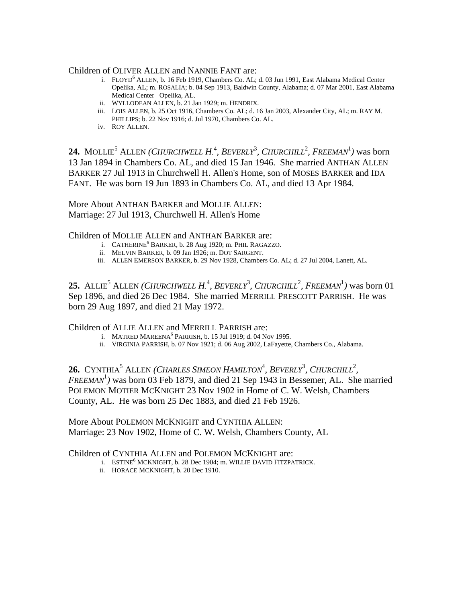Children of OLIVER ALLEN and NANNIE FANT are:

- i. FLOYD<sup>6</sup> ALLEN, b. 16 Feb 1919, Chambers Co. AL; d. 03 Jun 1991, East Alabama Medical Center Opelika, AL; m. ROSALIA; b. 04 Sep 1913, Baldwin County, Alabama; d. 07 Mar 2001, East Alabama Medical Center Opelika, AL.
	- ii. WYLLODEAN ALLEN, b. 21 Jan 1929; m. HENDRIX.
	- iii. LOIS ALLEN, b. 25 Oct 1916, Chambers Co. AL; d. 16 Jan 2003, Alexander City, AL; m. RAY M. PHILLIPS; b. 22 Nov 1916; d. Jul 1970, Chambers Co. AL.
	- iv. ROY ALLEN.

24. MOLLIE<sup>5</sup> ALLEN *(CHURCHWELL H.<sup>4</sup>, BEVERLY<sup>3</sup>, CHURCHILL<sup>2</sup>, FREEMAN<sup>1</sup>) was born* 13 Jan 1894 in Chambers Co. AL, and died 15 Jan 1946. She married ANTHAN ALLEN BARKER 27 Jul 1913 in Churchwell H. Allen's Home, son of MOSES BARKER and IDA FANT. He was born 19 Jun 1893 in Chambers Co. AL, and died 13 Apr 1984.

More About ANTHAN BARKER and MOLLIE ALLEN: Marriage: 27 Jul 1913, Churchwell H. Allen's Home

Children of MOLLIE ALLEN and ANTHAN BARKER are:

- i. CATHERINE<sup>6</sup> BARKER, b. 28 Aug 1920; m. PHIL RAGAZZO.
	- ii. MELVIN BARKER, b. 09 Jan 1926; m. DOT SARGENT.
	- iii. ALLEN EMERSON BARKER, b. 29 Nov 1928, Chambers Co. AL; d. 27 Jul 2004, Lanett, AL.

**25.** ALLIE<sup>5</sup> ALLEN *(CHURCHWELL H.<sup>4</sup>, BEVERLY<sup>3</sup>, CHURCHILL<sup>2</sup>, FREEMAN<sup>1</sup>) was born 01* Sep 1896, and died 26 Dec 1984. She married MERRILL PRESCOTT PARRISH. He was born 29 Aug 1897, and died 21 May 1972.

Children of ALLIE ALLEN and MERRILL PARRISH are:

- i. MATRED MAREENA<sup>6</sup> PARRISH, b. 15 Jul 1919; d. 04 Nov 1995.
	- ii. VIRGINIA PARRISH, b. 07 Nov 1921; d. 06 Aug 2002, LaFayette, Chambers Co., Alabama.

26. CYNTHIA<sup>5</sup> ALLEN (CHARLES SIMEON HAMILTON<sup>4</sup>, BEVERLY<sup>3</sup>, CHURCHILL<sup>2</sup>,  $FREEMAN<sup>1</sup>$ ) was born 03 Feb 1879, and died 21 Sep 1943 in Bessemer, AL. She married POLEMON MOTIER MCKNIGHT 23 Nov 1902 in Home of C. W. Welsh, Chambers County, AL. He was born 25 Dec 1883, and died 21 Feb 1926.

More About POLEMON MCKNIGHT and CYNTHIA ALLEN: Marriage: 23 Nov 1902, Home of C. W. Welsh, Chambers County, AL

Children of CYNTHIA ALLEN and POLEMON MCKNIGHT are:

- i. ESTINE<sup>6</sup> MCKNIGHT, b. 28 Dec 1904; m. WILLIE DAVID FITZPATRICK.
	- ii. HORACE MCKNIGHT, b. 20 Dec 1910.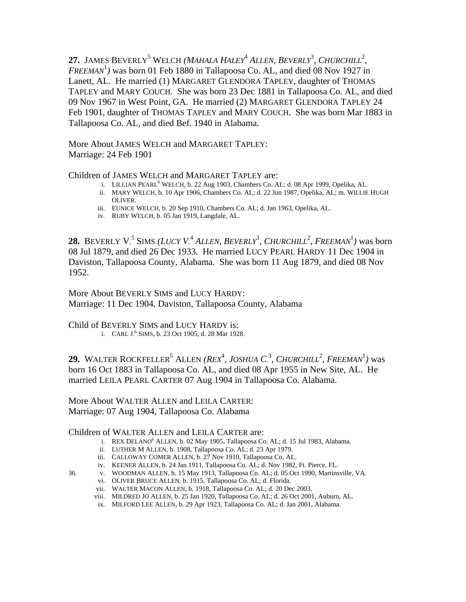27. JAMES BEVERLY<sup>5</sup> WELCH (*MAHALA HALEY<sup>4</sup> ALLEN, BEVERLY<sup>3</sup>, CHURCHILL<sup>2</sup>, FREEMAN*<sup>1</sup> *)* was born 01 Feb 1880 in Tallapoosa Co. AL, and died 08 Nov 1927 in Lanett, AL. He married (1) MARGARET GLENDORA TAPLEY, daughter of THOMAS TAPLEY and MARY COUCH. She was born 23 Dec 1881 in Tallapoosa Co. AL, and died 09 Nov 1967 in West Point, GA. He married (2) MARGARET GLENDORA TAPLEY 24 Feb 1901, daughter of THOMAS TAPLEY and MARY COUCH. She was born Mar 1883 in Tallapoosa Co. AL, and died Bef. 1940 in Alabama.

More About JAMES WELCH and MARGARET TAPLEY: Marriage: 24 Feb 1901

Children of JAMES WELCH and MARGARET TAPLEY are:

- i. LILLIAN PEARL<sup>6</sup> WELCH, b. 22 Aug 1903, Chambers Co. AL; d. 08 Apr 1999, Opelika, AL.
	- ii. MARY WELCH, b. 10 Apr 1906, Chambers Co. AL; d. 22 Jun 1987, Opelika, AL; m. WILLIE HUGH OLIVER.
	- iii. EUNICE WELCH, b. 20 Sep 1910, Chambers Co. AL; d. Jan 1963, Opelika, AL.
	- iv. RUBY WELCH, b. 05 Jan 1919, Langdale, AL.

**28.** BEVERLY V.<sup>5</sup> SIMS (*LUCY V*.<sup>4</sup> ALLEN, *BEVERLY*<sup>3</sup>, *CHURCHILL*<sup>2</sup>, *FREEMAN*<sup>1</sup>) was born 08 Jul 1879, and died 26 Dec 1933. He married LUCY PEARL HARDY 11 Dec 1904 in Daviston, Tallapoosa County, Alabama. She was born 11 Aug 1879, and died 08 Nov 1952.

More About BEVERLY SIMS and LUCY HARDY: Marriage: 11 Dec 1904, Daviston, Tallapoosa County, Alabama

Child of BEVERLY SIMS and LUCY HARDY is:

i. CARL J. 6 SIMS, b. 23 Oct 1905; d. 28 Mar 1928.

**29.** WALTER ROCKFELLER<sup>5</sup> ALLEN (*REX<sup>4</sup>, JOSHUA C.<sup>3</sup>, CHURCHILL<sup>2</sup>, FREEMAN<sup>1</sup>) was* born 16 Oct 1883 in Tallapoosa Co. AL, and died 08 Apr 1955 in New Site, AL. He married LEILA PEARL CARTER 07 Aug 1904 in Tallapoosa Co. Alabama.

More About WALTER ALLEN and LEILA CARTER: Marriage: 07 Aug 1904, Tallapoosa Co. Alabama

# Children of WALTER ALLEN and LEILA CARTER are:

- i. REX DELANO<sup>6</sup> ALLEN, b. 02 May 1905, Tallapoosa Co. AL; d. 15 Jul 1983, Alabama.
	- ii. LUTHER M ALLEN, b. 1908, Tallapoosa Co. AL; d. 23 Apr 1979.
	- iii. CALLOWAY COMER ALLEN, b. 27 Nov 1910, Tallapoosa Co. AL.
	- iv. KEENER ALLEN, b. 24 Jan 1911, Tallapoosa Co. AL; d. Nov 1982, Ft. Pierce, FL.
- 36. v. WOODMAN ALLEN, b. 15 May 1913, Tallapoosa Co. AL; d. 05 Oct 1990, Martinsville, VA.
	- vi. OLIVER BRUCE ALLEN, b. 1915, Tallapoosa Co. AL; d. Florida.
	- vii. WALTER MACON ALLEN, b. 1918, Tallapoosa Co. AL; d. 20 Dec 2003.
	- viii. MILDRED JO ALLEN, b. 25 Jan 1920, Tallapoosa Co. AL; d. 26 Oct 2001, Auburn, AL.
	- ix. MILFORD LEE ALLEN, b. 29 Apr 1923, Tallapoosa Co. AL; d. Jan 2001, Alabama.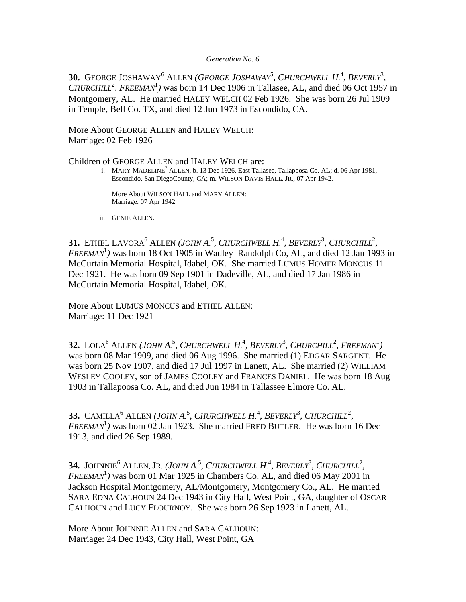#### *Generation No. 6*

**30.** GEORGE JOSHAWAY<sup>6</sup> ALLEN (*GEORGE JOSHAWAY*<sup>5</sup>, *CHURCHWELL H.*<sup>4</sup>, *BEVERLY*<sup>3</sup>, *CHURCHILL*<sup>2</sup>, FREEMAN<sup>1</sup>) was born 14 Dec 1906 in Tallasee, AL, and died 06 Oct 1957 in Montgomery, AL. He married HALEY WELCH 02 Feb 1926. She was born 26 Jul 1909 in Temple, Bell Co. TX, and died 12 Jun 1973 in Escondido, CA.

More About GEORGE ALLEN and HALEY WELCH: Marriage: 02 Feb 1926

Children of GEORGE ALLEN and HALEY WELCH are:

i. MARY MADELINE<sup>7</sup> ALLEN, b. 13 Dec 1926, East Tallasee, Tallapoosa Co. AL; d. 06 Apr 1981, Escondido, San DiegoCounty, CA; m. WILSON DAVIS HALL, JR., 07 Apr 1942.

> More About WILSON HALL and MARY ALLEN: Marriage: 07 Apr 1942

ii. GENIE ALLEN.

**31.** ETHEL LAVORA<sup>6</sup> ALLEN (JOHN A.<sup>5</sup>, CHURCHWELL H.<sup>4</sup>, BEVERLY<sup>3</sup>, CHURCHILL<sup>2</sup>,  $FREEMAN<sup>1</sup>$ ) was born 18 Oct 1905 in Wadley Randolph Co, AL, and died 12 Jan 1993 in McCurtain Memorial Hospital, Idabel, OK. She married LUMUS HOMER MONCUS 11 Dec 1921. He was born 09 Sep 1901 in Dadeville, AL, and died 17 Jan 1986 in McCurtain Memorial Hospital, Idabel, OK.

More About LUMUS MONCUS and ETHEL ALLEN: Marriage: 11 Dec 1921

**32.** LOLA<sup>6</sup> ALLEN (JOHN A.<sup>5</sup>, CHURCHWELL H.<sup>4</sup>, BEVERLY<sup>3</sup>, CHURCHILL<sup>2</sup>, FREEMAN<sup>1</sup>) was born 08 Mar 1909, and died 06 Aug 1996. She married (1) EDGAR SARGENT. He was born 25 Nov 1907, and died 17 Jul 1997 in Lanett, AL. She married (2) WILLIAM WESLEY COOLEY, son of JAMES COOLEY and FRANCES DANIEL. He was born 18 Aug 1903 in Tallapoosa Co. AL, and died Jun 1984 in Tallassee Elmore Co. AL.

**33.** CAMILLA<sup>6</sup> ALLEN (JOHN A.<sup>5</sup>, CHURCHWELL H.<sup>4</sup>, BEVERLY<sup>3</sup>, CHURCHILL<sup>2</sup>, *FREEMAN*<sup>1</sup> *)* was born 02 Jan 1923. She married FRED BUTLER. He was born 16 Dec 1913, and died 26 Sep 1989.

**34.** JOHNNIE<sup>6</sup> ALLEN, JR. (JOHN A.<sup>5</sup>, CHURCHWELL H.<sup>4</sup>, BEVERLY<sup>3</sup>, CHURCHILL<sup>2</sup>,  $FREEMAN<sup>1</sup>$ ) was born 01 Mar 1925 in Chambers Co. AL, and died 06 May 2001 in Jackson Hospital Montgomery, AL/Montgomery, Montgomery Co., AL. He married SARA EDNA CALHOUN 24 Dec 1943 in City Hall, West Point, GA, daughter of OSCAR CALHOUN and LUCY FLOURNOY. She was born 26 Sep 1923 in Lanett, AL.

More About JOHNNIE ALLEN and SARA CALHOUN: Marriage: 24 Dec 1943, City Hall, West Point, GA